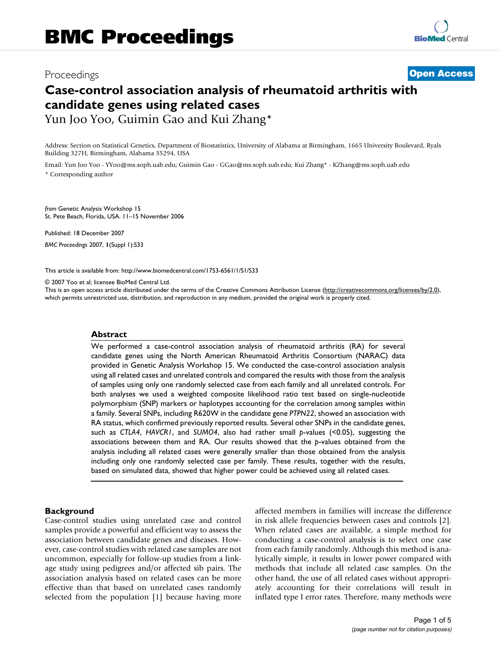# Proceedings **[Open Access](http://www.biomedcentral.com/info/about/charter/)**

## **Case-control association analysis of rheumatoid arthritis with candidate genes using related cases** Yun Joo Yoo, Guimin Gao and Kui Zhang\*

Address: Section on Statistical Genetics, Department of Biostatistics, University of Alabama at Birmingham, 1665 University Boulevard, Ryals Building 327H, Birmingham, Alabama 35294, USA

Email: Yun Joo Yoo - YYoo@ms.soph.uab.edu; Guimin Gao - GGao@ms.soph.uab.edu; Kui Zhang\* - KZhang@ms.soph.uab.edu \* Corresponding author

*from* Genetic Analysis Workshop 15 St. Pete Beach, Florida, USA. 11–15 November 2006

Published: 18 December 2007 *BMC Proceedings* 2007, **1**(Suppl 1):S33

[This article is available from: http://www.biomedcentral.com/1753-6561/1/S1/S33](http://www.biomedcentral.com/1753-6561/1/S1/S33)

© 2007 Yoo et al; licensee BioMed Central Ltd.

This is an open access article distributed under the terms of the Creative Commons Attribution License [\(http://creativecommons.org/licenses/by/2.0\)](http://creativecommons.org/licenses/by/2.0), which permits unrestricted use, distribution, and reproduction in any medium, provided the original work is properly cited.

#### **Abstract**

We performed a case-control association analysis of rheumatoid arthritis (RA) for several candidate genes using the North American Rheumatoid Arthritis Consortium (NARAC) data provided in Genetic Analysis Workshop 15. We conducted the case-control association analysis using all related cases and unrelated controls and compared the results with those from the analysis of samples using only one randomly selected case from each family and all unrelated controls. For both analyses we used a weighted composite likelihood ratio test based on single-nucleotide polymorphism (SNP) markers or haplotypes accounting for the correlation among samples within a family. Several SNPs, including R620W in the candidate gene *PTPN22*, showed an association with RA status, which confirmed previously reported results. Several other SNPs in the candidate genes, such as *CTLA4*, *HAVCR1*, and *SUMO4*, also had rather small *p*-values (<0.05), suggesting the associations between them and RA. Our results showed that the *p*-values obtained from the analysis including all related cases were generally smaller than those obtained from the analysis including only one randomly selected case per family. These results, together with the results, based on simulated data, showed that higher power could be achieved using all related cases.

#### **Background**

Case-control studies using unrelated case and control samples provide a powerful and efficient way to assess the association between candidate genes and diseases. However, case-control studies with related case samples are not uncommon, especially for follow-up studies from a linkage study using pedigrees and/or affected sib pairs. The association analysis based on related cases can be more effective than that based on unrelated cases randomly selected from the population [1] because having more affected members in families will increase the difference in risk allele frequencies between cases and controls [2]. When related cases are available, a simple method for conducting a case-control analysis is to select one case from each family randomly. Although this method is analytically simple, it results in lower power compared with methods that include all related case samples. On the other hand, the use of all related cases without appropriately accounting for their correlations will result in inflated type I error rates. Therefore, many methods were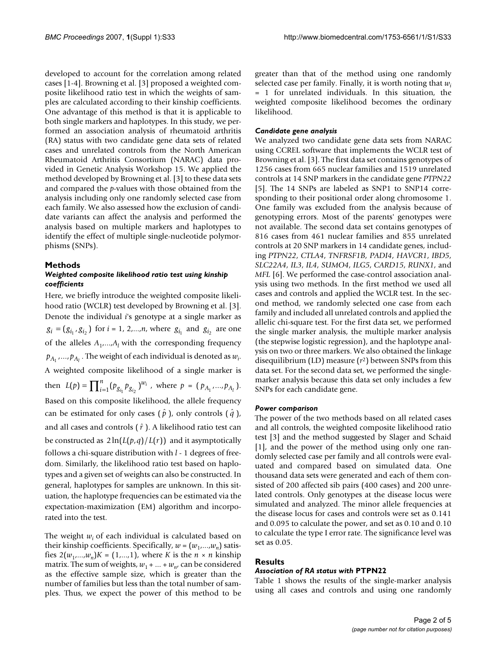developed to account for the correlation among related cases [1-4]. Browning et al. [3] proposed a weighted composite likelihood ratio test in which the weights of samples are calculated according to their kinship coefficients. One advantage of this method is that it is applicable to both single markers and haplotypes. In this study, we performed an association analysis of rheumatoid arthritis (RA) status with two candidate gene data sets of related cases and unrelated controls from the North American Rheumatoid Arthritis Consortium (NARAC) data provided in Genetic Analysis Workshop 15. We applied the method developed by Browning et al. [3] to these data sets and compared the *p*-values with those obtained from the analysis including only one randomly selected case from each family. We also assessed how the exclusion of candidate variants can affect the analysis and performed the analysis based on multiple markers and haplotypes to identify the effect of multiple single-nucleotide polymorphisms (SNPs).

#### **Methods**

#### *Weighted composite likelihood ratio test using kinship coefficients*

Here, we briefly introduce the weighted composite likelihood ratio (WCLR) test developed by Browning et al. [3]. Denote the individual *i*'s genotype at a single marker as  $g_i = (g_{i_1}, g_{i_2})$  for  $i = 1, 2, \ldots, n$ , where  $g_{i_1}$  and  $g_{i_2}$  are one of the alleles  $A_1$ , ..., $A_l$  with the corresponding frequency  $p_{A_1},...,p_{A_l}$  . The weight of each individual is denoted as  $w_i$ . A weighted composite likelihood of a single marker is then  $L(p) = \prod_{i=1}^{n} (p_{g_{i_1}} p_{g_{i_2}})^{w_i}$ , where  $p = (p_{A_1},...,p_{A_l})$ . Based on this composite likelihood, the allele frequency can be estimated for only cases  $(\hat{p})$ , only controls  $(\hat{q})$ , and all cases and controls ( $\hat{r}$ ). A likelihood ratio test can be constructed as  $2\ln(L(p,q)/L(r))$  and it asymptotically follows a chi-square distribution with *l* - 1 degrees of freedom. Similarly, the likelihood ratio test based on haplotypes and a given set of weights can also be constructed. In general, haplotypes for samples are unknown. In this situation, the haplotype frequencies can be estimated via the expectation-maximization (EM) algorithm and incorporated into the test. *n*  $\hat{p}(p) = \prod_{i=1}^{n} (p_{g_{i_1}} p_{g_{i_2}})^{w_i}$ , where  $p = (p_{A_1},...,p_{A_n})$ 

The weight  $w_i$  of each individual is calculated based on their kinship coefficients. Specifically,  $w = (w_1, \ldots, w_n)$  satisfies  $2(w_1,...,w_n)K = (1,...,1)$ , where *K* is the  $n \times n$  kinship matrix. The sum of weights,  $w_1 + ... + w_n$ , can be considered as the effective sample size, which is greater than the number of families but less than the total number of samples. Thus, we expect the power of this method to be

greater than that of the method using one randomly selected case per family. Finally, it is worth noting that *wi* = 1 for unrelated individuals. In this situation, the weighted composite likelihood becomes the ordinary likelihood.

#### *Candidate gene analysis*

We analyzed two candidate gene data sets from NARAC using CCREL software that implements the WCLR test of Browning et al. [3]. The first data set contains genotypes of 1256 cases from 665 nuclear families and 1519 unrelated controls at 14 SNP markers in the candidate gene *PTPN22* [5]. The 14 SNPs are labeled as SNP1 to SNP14 corresponding to their positional order along chromosome 1. One family was excluded from the analysis because of genotyping errors. Most of the parents' genotypes were not available. The second data set contains genotypes of 816 cases from 461 nuclear families and 855 unrelated controls at 20 SNP markers in 14 candidate genes, including *PTPN22*, *CTLA4*, *TNFRSF1B*, *PADI4*, *HAVCR1*, *IBD5*, *SLC22A4*, *IL3*, *IL4*, *SUMO4*, *ILG5*, *CARD15*, *RUNX1*, and *MFL* [6]. We performed the case-control association analysis using two methods. In the first method we used all cases and controls and applied the WCLR test. In the second method, we randomly selected one case from each family and included all unrelated controls and applied the allelic chi-square test. For the first data set, we performed the single marker analysis, the multiple marker analysis (the stepwise logistic regression), and the haplotype analysis on two or three markers. We also obtained the linkage disequilibrium (LD) measure (*r*2) between SNPs from this data set. For the second data set, we performed the singlemarker analysis because this data set only includes a few SNPs for each candidate gene.

#### *Power comparison*

The power of the two methods based on all related cases and all controls, the weighted composite likelihood ratio test [3] and the method suggested by Slager and Schaid [1], and the power of the method using only one randomly selected case per family and all controls were evaluated and compared based on simulated data. One thousand data sets were generated and each of them consisted of 200 affected sib pairs (400 cases) and 200 unrelated controls. Only genotypes at the disease locus were simulated and analyzed. The minor allele frequencies at the disease locus for cases and controls were set as 0.141 and 0.095 to calculate the power, and set as 0.10 and 0.10 to calculate the type I error rate. The significance level was set as 0.05.

### **Results**

#### *Association of RA status with* **PTPN22**

Table 1 shows the results of the single-marker analysis using all cases and controls and using one randomly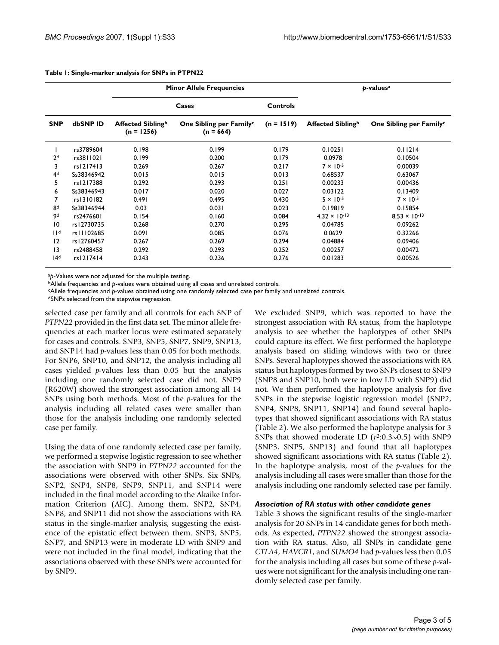|  | Table 1: Single-marker analysis for SNPs in PTPN22 |
|--|----------------------------------------------------|
|--|----------------------------------------------------|

|                 |            | <b>Minor Allele Frequencies</b>   |                                                    |                 | p-values <sup>a</sup>  |                                     |
|-----------------|------------|-----------------------------------|----------------------------------------------------|-----------------|------------------------|-------------------------------------|
|                 |            |                                   | Cases                                              | <b>Controls</b> |                        |                                     |
| <b>SNP</b>      | dbSNP ID   | Affected Siblingb<br>$(n = 1256)$ | One Sibling per Family <sup>c</sup><br>$(n = 664)$ | $(n = 1519)$    | Affected Siblingb      | One Sibling per Family <sup>c</sup> |
|                 | rs3789604  | 0.198                             | 0.199                                              | 0.179           | 0.10251                | 0.11214                             |
| 2 <sup>d</sup>  | rs3811021  | 0.199                             | 0.200                                              | 0.179           | 0.0978                 | 0.10504                             |
| 3               | rs1217413  | 0.269                             | 0.267                                              | 0.217           | $7 \times 10^{-5}$     | 0.00039                             |
| 4 <sub>d</sub>  | Ss38346942 | 0.015                             | 0.015                                              | 0.013           | 0.68537                | 0.63067                             |
| 5               | rs1217388  | 0.292                             | 0.293                                              | 0.251           | 0.00233                | 0.00436                             |
| 6               | Ss38346943 | 0.017                             | 0.020                                              | 0.027           | 0.03122                | 0.13409                             |
|                 | rs1310182  | 0.491                             | 0.495                                              | 0.430           | $5 \times 10^{-5}$     | $7 \times 10^{-5}$                  |
| 8 <sup>d</sup>  | Ss38346944 | 0.03                              | 0.031                                              | 0.023           | 0.19819                | 0.15854                             |
| 9d              | rs2476601  | 0.154                             | 0.160                                              | 0.084           | $4.32 \times 10^{-13}$ | $8.53 \times 10^{-13}$              |
| 10              | rs12730735 | 0.268                             | 0.270                                              | 0.295           | 0.04785                | 0.09262                             |
| 11 <sup>d</sup> | rs11102685 | 0.091                             | 0.085                                              | 0.076           | 0.0629                 | 0.32266                             |
| 12              | rs12760457 | 0.267                             | 0.269                                              | 0.294           | 0.04884                | 0.09406                             |
| 3               | rs2488458  | 0.292                             | 0.293                                              | 0.252           | 0.00257                | 0.00472                             |
| 14 <sup>d</sup> | rs1217414  | 0.243                             | 0.236                                              | 0.276           | 0.01283                | 0.00526                             |

<sup>a</sup>*p*-Values were not adjusted for the multiple testing.

<sup>b</sup>Allele frequencies and *p*-values were obtained using all cases and unrelated controls.

cAllele frequencies and *p*-values obtained using one randomly selected case per family and unrelated controls.

dSNPs selected from the stepwise regression.

selected case per family and all controls for each SNP of *PTPN22* provided in the first data set. The minor allele frequencies at each marker locus were estimated separately for cases and controls. SNP3, SNP5, SNP7, SNP9, SNP13, and SNP14 had *p*-values less than 0.05 for both methods. For SNP6, SNP10, and SNP12, the analysis including all cases yielded *p*-values less than 0.05 but the analysis including one randomly selected case did not. SNP9 (R620W) showed the strongest association among all 14 SNPs using both methods. Most of the *p*-values for the analysis including all related cases were smaller than those for the analysis including one randomly selected case per family.

Using the data of one randomly selected case per family, we performed a stepwise logistic regression to see whether the association with SNP9 in *PTPN22* accounted for the associations were observed with other SNPs. Six SNPs, SNP2, SNP4, SNP8, SNP9, SNP11, and SNP14 were included in the final model according to the Akaike Information Criterion (AIC). Among them, SNP2, SNP4, SNP8, and SNP11 did not show the associations with RA status in the single-marker analysis, suggesting the existence of the epistatic effect between them. SNP3, SNP5, SNP7, and SNP13 were in moderate LD with SNP9 and were not included in the final model, indicating that the associations observed with these SNPs were accounted for by SNP9.

We excluded SNP9, which was reported to have the strongest association with RA status, from the haplotype analysis to see whether the haplotypes of other SNPs could capture its effect. We first performed the haplotype analysis based on sliding windows with two or three SNPs. Several haplotypes showed the associations with RA status but haplotypes formed by two SNPs closest to SNP9 (SNP8 and SNP10, both were in low LD with SNP9) did not. We then performed the haplotype analysis for five SNPs in the stepwise logistic regression model (SNP2, SNP4, SNP8, SNP11, SNP14) and found several haplotypes that showed significant associations with RA status (Table 2). We also performed the haplotype analysis for 3 SNPs that showed moderate LD (*r*2:0.3~0.5) with SNP9 (SNP3, SNP5, SNP13) and found that all haplotypes showed significant associations with RA status (Table 2). In the haplotype analysis, most of the *p*-values for the analysis including all cases were smaller than those for the analysis including one randomly selected case per family.

#### *Association of RA status with other candidate genes*

Table 3 shows the significant results of the single-marker analysis for 20 SNPs in 14 candidate genes for both methods. As expected, *PTPN22* showed the strongest association with RA status. Also, all SNPs in candidate gene *CTLA4*, *HAVCR1*, and *SUMO4* had *p*-values less then 0.05 for the analysis including all cases but some of these *p*-values were not significant for the analysis including one randomly selected case per family.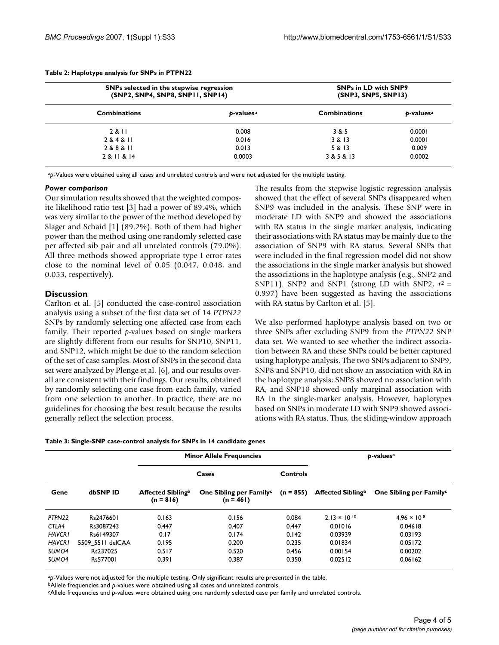| SNPs selected in the stepwise regression<br>(SNP2, SNP4, SNP8, SNP11, SNP14) |                       | <b>SNPs in LD with SNP9</b><br>(SNP3, SNP5, SNP13) |                       |
|------------------------------------------------------------------------------|-----------------------|----------------------------------------------------|-----------------------|
| <b>Combinations</b>                                                          | p-values <sup>a</sup> | <b>Combinations</b>                                | b-values <sup>a</sup> |
| 2 & II                                                                       | 0.008                 | 3 & 5                                              | 0.0001                |
| 284811                                                                       | 0.016                 | 3 & 13                                             | 0.0001                |
| 2 & 8 & 11                                                                   | 0.013                 | 5 & 13                                             | 0.009                 |
| 2 & 11 & 14                                                                  | 0.0003                | 3 & 5 & 13                                         | 0.0002                |

#### **Table 2: Haplotype analysis for SNPs in PTPN22**

a<sub>p</sub>-Values were obtained using all cases and unrelated controls and were not adjusted for the multiple testing.

#### *Power comparison*

Our simulation results showed that the weighted composite likelihood ratio test [3] had a power of 89.4%, which was very similar to the power of the method developed by Slager and Schaid [1] (89.2%). Both of them had higher power than the method using one randomly selected case per affected sib pair and all unrelated controls (79.0%). All three methods showed appropriate type I error rates close to the nominal level of 0.05 (0.047, 0.048, and 0.053, respectively).

#### **Discussion**

Carlton et al. [5] conducted the case-control association analysis using a subset of the first data set of 14 *PTPN22* SNPs by randomly selecting one affected case from each family. Their reported *p*-values based on single markers are slightly different from our results for SNP10, SNP11, and SNP12, which might be due to the random selection of the set of case samples. Most of SNPs in the second data set were analyzed by Plenge et al. [6], and our results overall are consistent with their findings. Our results, obtained by randomly selecting one case from each family, varied from one selection to another. In practice, there are no guidelines for choosing the best result because the results generally reflect the selection process.

The results from the stepwise logistic regression analysis showed that the effect of several SNPs disappeared when SNP9 was included in the analysis. These SNP were in moderate LD with SNP9 and showed the associations with RA status in the single marker analysis, indicating their associations with RA status may be mainly due to the association of SNP9 with RA status. Several SNPs that were included in the final regression model did not show the associations in the single marker analysis but showed the associations in the haplotype analysis (e.g., SNP2 and SNP11). SNP2 and SNP1 (strong LD with SNP2,  $r^2$  = 0.997) have been suggested as having the associations with RA status by Carlton et al. [5].

We also performed haplotype analysis based on two or three SNPs after excluding SNP9 from the *PTPN22* SNP data set. We wanted to see whether the indirect association between RA and these SNPs could be better captured using haplotype analysis. The two SNPs adjacent to SNP9, SNP8 and SNP10, did not show an association with RA in the haplotype analysis; SNP8 showed no association with RA, and SNP10 showed only marginal association with RA in the single-marker analysis. However, haplotypes based on SNPs in moderate LD with SNP9 showed associations with RA status. Thus, the sliding-window approach

| Table 3: Single-SNP case-control analysis for SNPs in 14 candidate genes |
|--------------------------------------------------------------------------|
|--------------------------------------------------------------------------|

|                   | <b>Minor Allele Frequencies</b> |                                  |                                                    |                 | p-values <sup>a</sup>  |                                     |  |
|-------------------|---------------------------------|----------------------------------|----------------------------------------------------|-----------------|------------------------|-------------------------------------|--|
|                   |                                 |                                  | Cases                                              | <b>Controls</b> |                        |                                     |  |
| Gene              | dbSNP ID                        | Affected Siblingb<br>$(n = 816)$ | One Sibling per Family <sup>c</sup><br>$(n = 461)$ | $(n = 855)$     | Affected Siblingb      | One Sibling per Family <sup>c</sup> |  |
| PTPN22            | Rs2476601                       | 0.163                            | 0.156                                              | 0.084           | $2.13 \times 10^{-10}$ | $4.96 \times 10^{-8}$               |  |
| CTLA4             | Rs3087243                       | 0.447                            | 0.407                                              | 0.447           | 0.01016                | 0.04618                             |  |
| <b>HAVCRI</b>     | Rs6149307                       | 0.17                             | 0.174                                              | 0.142           | 0.03939                | 0.03193                             |  |
| <b>HAVCRI</b>     | 5509 5511 delCAA                | 0.195                            | 0.200                                              | 0.235           | 0.01834                | 0.05172                             |  |
| SUMO4             | Rs237025                        | 0.517                            | 0.520                                              | 0.456           | 0.00154                | 0.00202                             |  |
| SUMO <sub>4</sub> | Rs577001                        | 0.391                            | 0.387                                              | 0.350           | 0.02512                | 0.06162                             |  |

ap-Values were not adjusted for the multiple testing. Only significant results are presented in the table.

bAllele frequencies and *p*-values were obtained using all cases and unrelated controls.

cAllele frequencies and *p*-values were obtained using one randomly selected case per family and unrelated controls.